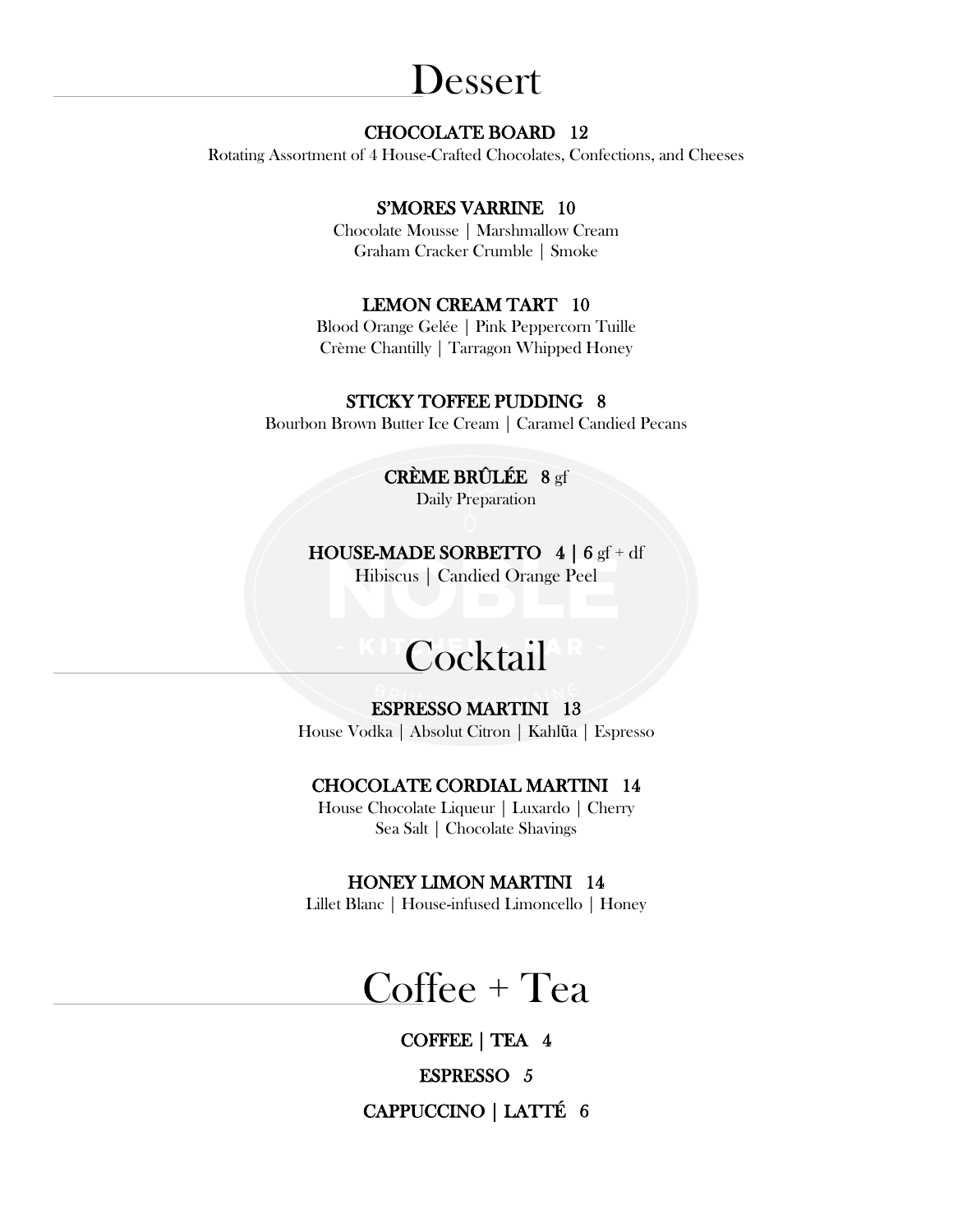## Dessert

### CHOCOLATE BOARD 12

Rotating Assortment of 4 House-Crafted Chocolates, Confections, and Cheeses

### S'MORES VARRINE 10

Chocolate Mousse | Marshmallow Cream Graham Cracker Crumble | Smoke

#### LEMON CREAM TART 10

Blood Orange Gelée | Pink Peppercorn Tuille Crème Chantilly | Tarragon Whipped Honey

#### STICKY TOFFEE PUDDING 8

Bourbon Brown Butter Ice Cream | Caramel Candied Pecans

### CRÈME BRÛLÉE 8 gf

Daily Preparation

#### **HOUSE-MADE SORBETTO**  $4 | 6 \text{ gf} + df$

Hibiscus | Candied Orange Peel

# **Cocktail**

#### ESPRESSO MARTINI 13

House Vodka | Absolut Citron | Kahlũa | Espresso

#### CHOCOLATE CORDIAL MARTINI 14

House Chocolate Liqueur | Luxardo | Cherry Sea Salt | Chocolate Shavings

#### HONEY LIMON MARTINI 14

Lillet Blanc | House-infused Limoncello | Honey

# Coffee + Tea

COFFEE | TEA 4

ESPRESSO 5

CAPPUCCINO | LATTÉ 6